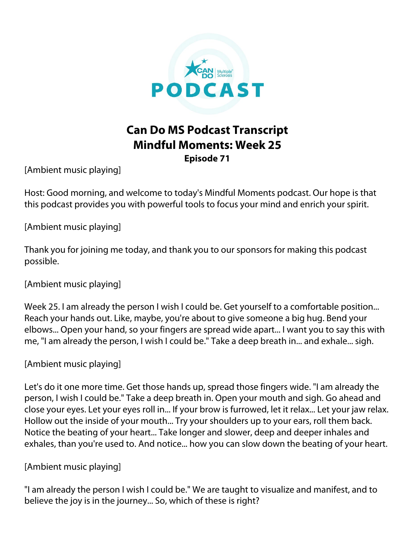

# **Can Do MS Podcast Transcript Mindful Moments: Week 25**

**Episode 71**

[Ambient music playing]

Host: Good morning, and welcome to today's Mindful Moments podcast. Our hope is that this podcast provides you with powerful tools to focus your mind and enrich your spirit.

[Ambient music playing]

Thank you for joining me today, and thank you to our sponsors for making this podcast possible.

[Ambient music playing]

Week 25. I am already the person I wish I could be. Get yourself to a comfortable position... Reach your hands out. Like, maybe, you're about to give someone a big hug. Bend your elbows... Open your hand, so your fingers are spread wide apart... I want you to say this with me, "I am already the person, I wish I could be." Take a deep breath in... and exhale... sigh.

# [Ambient music playing]

Let's do it one more time. Get those hands up, spread those fingers wide. "I am already the person, I wish I could be." Take a deep breath in. Open your mouth and sigh. Go ahead and close your eyes. Let your eyes roll in... If your brow is furrowed, let it relax... Let your jaw relax. Hollow out the inside of your mouth... Try your shoulders up to your ears, roll them back. Notice the beating of your heart... Take longer and slower, deep and deeper inhales and exhales, than you're used to. And notice... how you can slow down the beating of your heart.

# [Ambient music playing]

"I am already the person I wish I could be." We are taught to visualize and manifest, and to believe the joy is in the journey... So, which of these is right?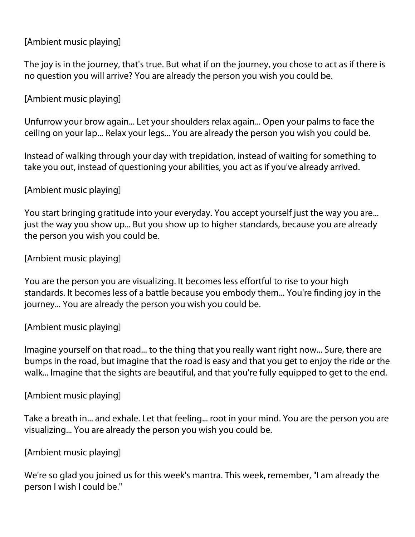## [Ambient music playing]

The joy is in the journey, that's true. But what if on the journey, you chose to act as if there is no question you will arrive? You are already the person you wish you could be.

## [Ambient music playing]

Unfurrow your brow again... Let your shoulders relax again... Open your palms to face the ceiling on your lap... Relax your legs... You are already the person you wish you could be.

Instead of walking through your day with trepidation, instead of waiting for something to take you out, instead of questioning your abilities, you act as if you've already arrived.

## [Ambient music playing]

You start bringing gratitude into your everyday. You accept yourself just the way you are... just the way you show up... But you show up to higher standards, because you are already the person you wish you could be.

### [Ambient music playing]

You are the person you are visualizing. It becomes less effortful to rise to your high standards. It becomes less of a battle because you embody them... You're finding joy in the journey... You are already the person you wish you could be.

#### [Ambient music playing]

Imagine yourself on that road... to the thing that you really want right now... Sure, there are bumps in the road, but imagine that the road is easy and that you get to enjoy the ride or the walk... Imagine that the sights are beautiful, and that you're fully equipped to get to the end.

#### [Ambient music playing]

Take a breath in... and exhale. Let that feeling... root in your mind. You are the person you are visualizing... You are already the person you wish you could be.

#### [Ambient music playing]

We're so glad you joined us for this week's mantra. This week, remember, "I am already the person I wish I could be."